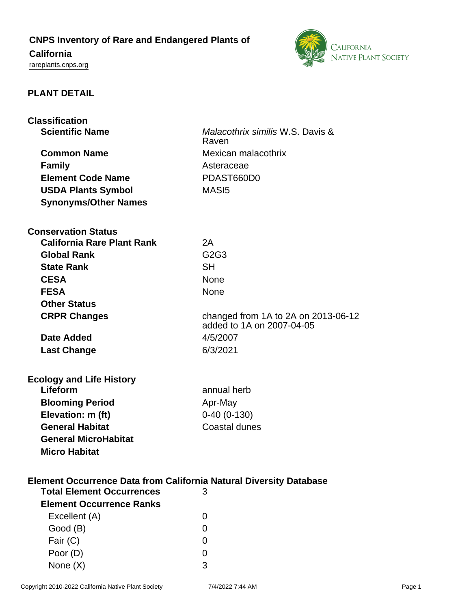# **CNPS Inventory of Rare and Endangered Plants of**

# **California**

<rareplants.cnps.org>



# **PLANT DETAIL**

| <b>Classification</b>                                                     |                                     |
|---------------------------------------------------------------------------|-------------------------------------|
| <b>Scientific Name</b>                                                    | Malacothrix similis W.S. Davis &    |
|                                                                           | Raven                               |
| <b>Common Name</b>                                                        | Mexican malacothrix                 |
| <b>Family</b>                                                             | Asteraceae                          |
| <b>Element Code Name</b>                                                  | PDAST660D0                          |
| <b>USDA Plants Symbol</b>                                                 | MAS <sub>I5</sub>                   |
| <b>Synonyms/Other Names</b>                                               |                                     |
|                                                                           |                                     |
| <b>Conservation Status</b>                                                |                                     |
| <b>California Rare Plant Rank</b>                                         | 2A                                  |
| <b>Global Rank</b>                                                        | G2G3                                |
| <b>State Rank</b>                                                         | <b>SH</b>                           |
| <b>CESA</b>                                                               | <b>None</b>                         |
| <b>FESA</b>                                                               | <b>None</b>                         |
| <b>Other Status</b>                                                       |                                     |
| <b>CRPR Changes</b>                                                       | changed from 1A to 2A on 2013-06-12 |
|                                                                           | added to 1A on 2007-04-05           |
| <b>Date Added</b>                                                         | 4/5/2007                            |
| <b>Last Change</b>                                                        | 6/3/2021                            |
|                                                                           |                                     |
| <b>Ecology and Life History</b>                                           |                                     |
| Lifeform                                                                  | annual herb                         |
| <b>Blooming Period</b>                                                    | Apr-May                             |
| Elevation: m (ft)                                                         | $0-40(0-130)$                       |
| <b>General Habitat</b>                                                    | <b>Coastal dunes</b>                |
| <b>General MicroHabitat</b>                                               |                                     |
| <b>Micro Habitat</b>                                                      |                                     |
|                                                                           |                                     |
| <b>Element Occurrence Data from California Natural Diversity Database</b> |                                     |
| <b>Total Element Occurrences</b>                                          | 3                                   |
| <b>Element Occurrence Ranks</b>                                           |                                     |
| Excellent (A)                                                             | $\Omega$                            |
| Good (B)                                                                  | 0                                   |
| Fair (C)                                                                  | 0                                   |
| Poor (D)                                                                  | O                                   |
| None $(X)$                                                                | 3                                   |